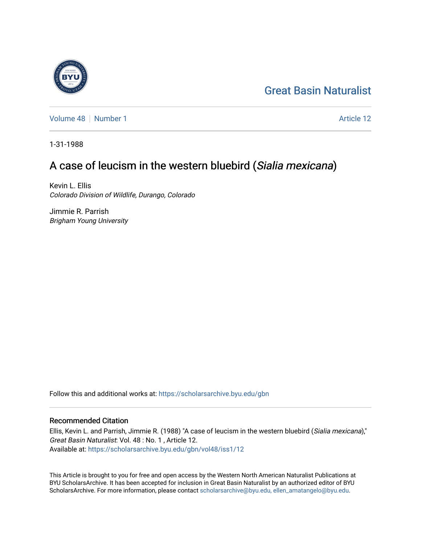# [Great Basin Naturalist](https://scholarsarchive.byu.edu/gbn)

[Volume 48](https://scholarsarchive.byu.edu/gbn/vol48) [Number 1](https://scholarsarchive.byu.edu/gbn/vol48/iss1) Article 12

1-31-1988

# A case of leucism in the western bluebird (Sialia mexicana)

Kevin L. Ellis Colorado Division of Wildlife, Durango, Colorado

Jimmie R. Parrish Brigham Young University

Follow this and additional works at: [https://scholarsarchive.byu.edu/gbn](https://scholarsarchive.byu.edu/gbn?utm_source=scholarsarchive.byu.edu%2Fgbn%2Fvol48%2Fiss1%2F12&utm_medium=PDF&utm_campaign=PDFCoverPages) 

## Recommended Citation

Ellis, Kevin L. and Parrish, Jimmie R. (1988) "A case of leucism in the western bluebird (Sialia mexicana)," Great Basin Naturalist: Vol. 48 : No. 1 , Article 12. Available at: [https://scholarsarchive.byu.edu/gbn/vol48/iss1/12](https://scholarsarchive.byu.edu/gbn/vol48/iss1/12?utm_source=scholarsarchive.byu.edu%2Fgbn%2Fvol48%2Fiss1%2F12&utm_medium=PDF&utm_campaign=PDFCoverPages) 

This Article is brought to you for free and open access by the Western North American Naturalist Publications at BYU ScholarsArchive. It has been accepted for inclusion in Great Basin Naturalist by an authorized editor of BYU ScholarsArchive. For more information, please contact [scholarsarchive@byu.edu, ellen\\_amatangelo@byu.edu.](mailto:scholarsarchive@byu.edu,%20ellen_amatangelo@byu.edu)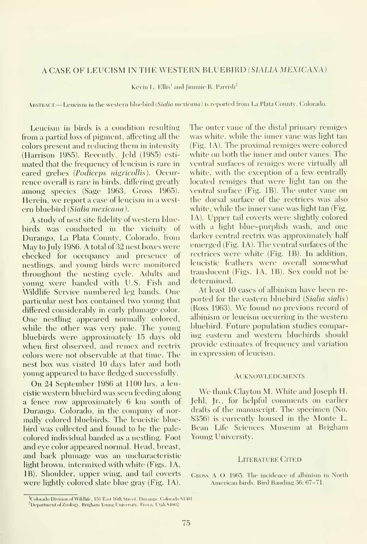### A CASE OF LEUCISM IN THE WESTERN BLUEBIRD (SIALIA MEXICANA)

Kevin L. Ellis<sup>1</sup> and Jimmie R. Parrish<sup>2</sup>

ABSTRACT.—Leucism in the western bluebird (Sialia mexicana) is reported from La Plata County, Colorado.

Leucism in birds is a condition resnlting from a partial loss of pigment, affecting all the colors present and reducing them in intensity (Harrison 1985). Recently, Jehl (1985) esti mated that the frequency of leucism is rare in eared grebes (Podiceps nigricollis). Occurrence overall is rare in birds, differing greatly among species (Sage 1963, Gross 1965). Herein, we report a case of leucism in <sup>a</sup> west ern bluebird {Sialia mexicana ).

A study of nest site fidelity of western bluebirds was conducted in the vicinity of Durango, La Plata County, Colorado, from May to July 1986. A total of 32 nest boxes were checked for occupancy and presence of nestlings, and young birds were monitored throughout the nesting cycle. Adults and young were banded with U.S. Fish and Wildlife Service numbered leg bands. One particular nest box contained two young that differed considerably in early plumage color. One nestling appeared normally colored, while the other was very pale. The young bluebirds were approximately 15 days old when first observed, and remex and rectrix colors were not observable at that time. The nest box was visited 10 days later and both young appeared to have fledged successfully.

On 24 September 1986 at 1100 hrs, <sup>a</sup> leucistic western bluebird was seen feeding along <sup>a</sup> fence row approximately 6 km south of Durango, Colorado, in the company of nor mally colored bluebirds. The leucistic bluebird was collected and found to be the palecolored individual banded as a nestling. Foot and eye color appeared normal. Head, breast, and back plumage was an uncharacteristic light brown, intermixed with white (Figs. lA, IB). Shoulder, upper wing, and tail coverts were lightly colored slate blue gray (Fig. lA). The outer vane of the distal primary remiges was white, while the inner vane was light tan (Fig. lA). The proximal remiges were colored white on both the inner and outer vanes. The ventral siufaces of remiges were virtually all white, with the exception of a few centrally located remiges that were light tan on the ventral surface (Fig. IB). The outer vane on the dorsal surface of the rectrices was also white, while the inner vane was light tan (Fig. lA). Upper tail coverts were slightly colored with a light blue-purplish wash, and one darker central rectrix was approximately half emerged (Fig. lA). The ventral surfaces of the rectrices were white (Fig. IB). In addition, leucistic feathers were overall somewhat translucent (Figs. lA, IB). Sex could not be determined.

At least 10 cases of albinism have been re ported for the eastern bluebird {Sialia sialis) (Ross 1963). We found no previous record of albinism or leucism occurring in the western bluebird. Future population studies comparing eastern and western bluebirds should provide estimates of frequency and variation in expression of leucism.

### **ACKNOWLEDGMENTS**

We thank Clayton M. White and Joseph H. Jehl, Jr., for helpful comments on earlier drafts of the manuscript. The specimen (No. 8356) is currently housed in the Monte L. Bean Life Sciences Museum at Brigham Young University.

#### LITERATURE CITED

Gross, A O 1965. The ineidenee of albinism in North American birds. Bird Banding 36: 67-71.

<sup>&</sup>lt;sup>1</sup>Colorado Division of Wildlife, 151 East 16th Street. Durango, Colorado 81301. <sup>2</sup>Department of Zoology, Brigham Young University, Provo, Utah 84602.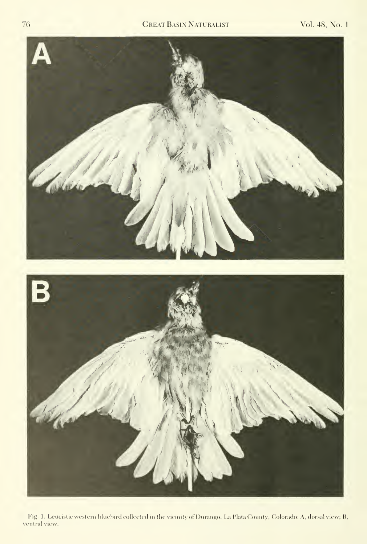

Fig. 1. Leucistic western bluebird collected in the vicinity of Durango, La Plata County, Colorado: A, dorsal view; B, ventral view.